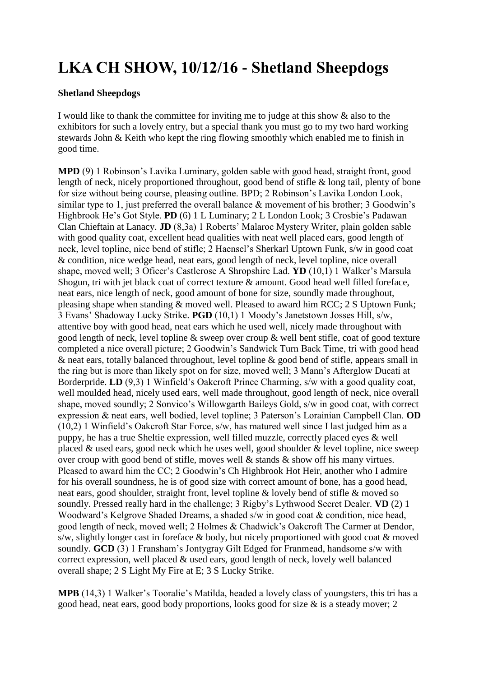## **LKA CH SHOW, 10/12/16 - Shetland Sheepdogs**

## **Shetland Sheepdogs**

I would like to thank the committee for inviting me to judge at this show & also to the exhibitors for such a lovely entry, but a special thank you must go to my two hard working stewards John & Keith who kept the ring flowing smoothly which enabled me to finish in good time.

**MPD** (9) 1 Robinson's Lavika Luminary, golden sable with good head, straight front, good length of neck, nicely proportioned throughout, good bend of stifle & long tail, plenty of bone for size without being course, pleasing outline. BPD; 2 Robinson's Lavika London Look, similar type to 1, just preferred the overall balance  $\&$  movement of his brother; 3 Goodwin's Highbrook He's Got Style. **PD** (6) 1 L Luminary; 2 L London Look; 3 Crosbie's Padawan Clan Chieftain at Lanacy. **JD** (8,3a) 1 Roberts' Malaroc Mystery Writer, plain golden sable with good quality coat, excellent head qualities with neat well placed ears, good length of neck, level topline, nice bend of stifle; 2 Haensel's Sherkarl Uptown Funk, s/w in good coat & condition, nice wedge head, neat ears, good length of neck, level topline, nice overall shape, moved well; 3 Oficer's Castlerose A Shropshire Lad. **YD** (10,1) 1 Walker's Marsula Shogun, tri with jet black coat of correct texture & amount. Good head well filled foreface, neat ears, nice length of neck, good amount of bone for size, soundly made throughout, pleasing shape when standing & moved well. Pleased to award him RCC; 2 S Uptown Funk; 3 Evans' Shadoway Lucky Strike. **PGD** (10,1) 1 Moody's Janetstown Josses Hill, s/w, attentive boy with good head, neat ears which he used well, nicely made throughout with good length of neck, level topline & sweep over croup & well bent stifle, coat of good texture completed a nice overall picture; 2 Goodwin's Sandwick Turn Back Time, tri with good head  $\&$  neat ears, totally balanced throughout, level topline  $\&$  good bend of stifle, appears small in the ring but is more than likely spot on for size, moved well; 3 Mann's Afterglow Ducati at Borderpride. **LD** (9.3) 1 Winfield's Oakcroft Prince Charming, s/w with a good quality coat, well moulded head, nicely used ears, well made throughout, good length of neck, nice overall shape, moved soundly; 2 Sonvico's Willowgarth Baileys Gold, s/w in good coat, with correct expression & neat ears, well bodied, level topline; 3 Paterson's Lorainian Campbell Clan. **OD** (10,2) 1 Winfield's Oakcroft Star Force, s/w, has matured well since I last judged him as a puppy, he has a true Sheltie expression, well filled muzzle, correctly placed eyes & well placed & used ears, good neck which he uses well, good shoulder & level topline, nice sweep over croup with good bend of stifle, moves well & stands & show off his many virtues. Pleased to award him the CC; 2 Goodwin's Ch Highbrook Hot Heir, another who I admire for his overall soundness, he is of good size with correct amount of bone, has a good head, neat ears, good shoulder, straight front, level topline & lovely bend of stifle & moved so soundly. Pressed really hard in the challenge; 3 Rigby's Lythwood Secret Dealer. **VD** (2) 1 Woodward's Kelgrove Shaded Dreams, a shaded s/w in good coat & condition, nice head, good length of neck, moved well; 2 Holmes & Chadwick's Oakcroft The Carmer at Dendor, s/w, slightly longer cast in foreface  $\&$  body, but nicely proportioned with good coat  $\&$  moved soundly. **GCD** (3) 1 Fransham's Jontygray Gilt Edged for Franmead, handsome s/w with correct expression, well placed & used ears, good length of neck, lovely well balanced overall shape; 2 S Light My Fire at E; 3 S Lucky Strike.

**MPB** (14,3) 1 Walker's Tooralie's Matilda, headed a lovely class of youngsters, this tri has a good head, neat ears, good body proportions, looks good for size & is a steady mover; 2